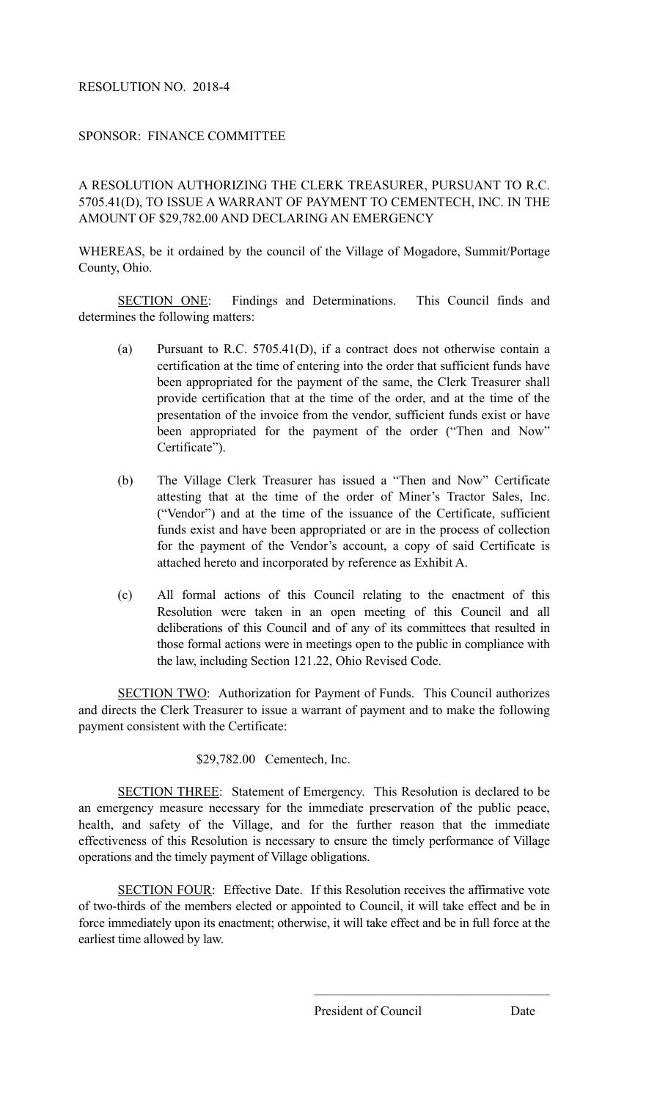## RESOLUTION NO. 2018-4

## SPONSOR: FINANCE COMMITTEE

A RESOLUTION AUTHORIZING THE CLERK TREASURER, PURSUANT TO R.C. 5705.41(D), TO ISSUE A WARRANT OF PAYMENT TO CEMENTECH, INC. IN THE AMOUNT OF \$29,782.00 AND DECLARING AN EMERGENCY

WHEREAS, be it ordained by the council of the Village of Mogadore, Summit/Portage County, Ohio.

SECTION ONE: Findings and Determinations. This Council finds and determines the following matters:

- (a) Pursuant to R.C. 5705.41(D), if a contract does not otherwise contain a certification at the time of entering into the order that sufficient funds have been appropriated for the payment of the same, the Clerk Treasurer shall provide certification that at the time of the order, and at the time of the presentation of the invoice from the vendor, sufficient funds exist or have been appropriated for the payment of the order ("Then and Now" Certificate").
- (b) The Village Clerk Treasurer has issued a "Then and Now" Certificate attesting that at the time of the order of Miner's Tractor Sales, Inc. ("Vendor") and at the time of the issuance of the Certificate, sufficient funds exist and have been appropriated or are in the process of collection for the payment of the Vendor's account, a copy of said Certificate is attached hereto and incorporated by reference as Exhibit A.
- (c) All formal actions of this Council relating to the enactment of this Resolution were taken in an open meeting of this Council and all deliberations of this Council and of any of its committees that resulted in those formal actions were in meetings open to the public in compliance with the law, including Section 121.22, Ohio Revised Code.

SECTION TWO: Authorization for Payment of Funds.This Council authorizes and directs the Clerk Treasurer to issue a warrant of payment and to make the following payment consistent with the Certificate:

## \$29,782.00 Cementech, Inc.

SECTION THREE: Statement of Emergency.This Resolution is declared to be an emergency measure necessary for the immediate preservation of the public peace, health, and safety of the Village, and for the further reason that the immediate effectiveness of this Resolution is necessary to ensure the timely performance of Village operations and the timely payment of Village obligations.

SECTION FOUR: Effective Date. If this Resolution receives the affirmative vote of two-thirds of the members elected or appointed to Council, it will take effect and be in force immediately upon its enactment; otherwise, it will take effect and be in full force at the earliest time allowed by law.

 $\mathcal{L}_\text{max}$  and  $\mathcal{L}_\text{max}$  and  $\mathcal{L}_\text{max}$  and  $\mathcal{L}_\text{max}$  and  $\mathcal{L}_\text{max}$